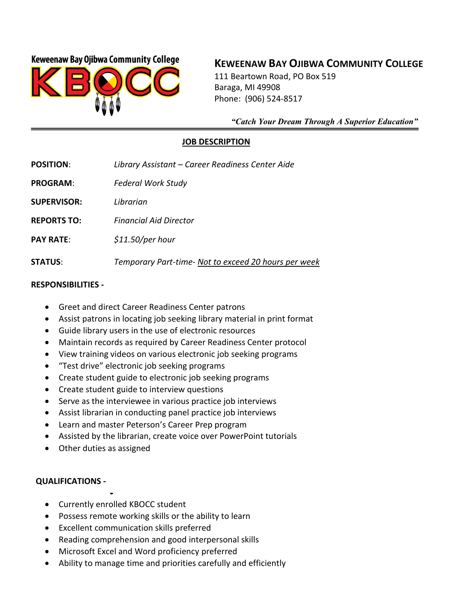## **Keweenaw Bay Ojibwa Community College**



# **KEWEENAW BAY OJIBWA COMMUNITY COLLEGE**

111 Beartown Road, PO Box 519 Baraga, MI 49908 Phone: (906) 524-8517

 *"Catch Your Dream Through A Superior Education"*

#### **JOB DESCRIPTION**

**POSITION**: *Library Assistant – Career Readiness Center Aide*

**PROGRAM**: *Federal Work Study*

**SUPERVISOR:** *Librarian*

**REPORTS TO:** *Financial Aid Director*

**PAY RATE**: *\$11.50/per hour*

**STATUS**: *Temporary Part-time- Not to exceed 20 hours per week*

#### **RESPONSIBILITIES -**

- Greet and direct Career Readiness Center patrons
- Assist patrons in locating job seeking library material in print format
- Guide library users in the use of electronic resources
- Maintain records as required by Career Readiness Center protocol
- View training videos on various electronic job seeking programs
- "Test drive" electronic job seeking programs
- Create student guide to electronic job seeking programs
- Create student guide to interview questions
- Serve as the interviewee in various practice job interviews
- Assist librarian in conducting panel practice job interviews
- Learn and master Peterson's Career Prep program
- Assisted by the librarian, create voice over PowerPoint tutorials
- Other duties as assigned

### **QUALIFICATIONS -**

- • Currently enrolled KBOCC student
- Possess remote working skills or the ability to learn
- Excellent communication skills preferred
- Reading comprehension and good interpersonal skills
- Microsoft Excel and Word proficiency preferred
- Ability to manage time and priorities carefully and efficiently